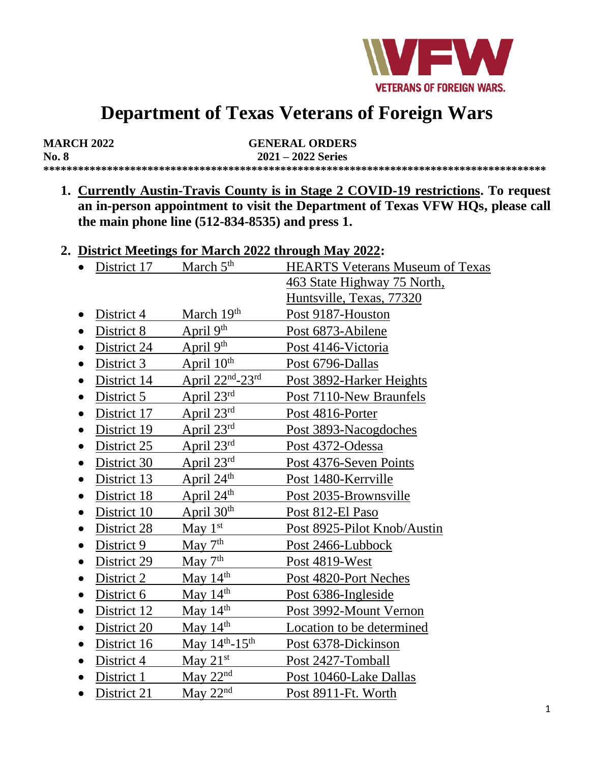

# **Department of Texas Veterans of Foreign Wars**

| <b>MARCH 2022</b> | <b>GENERAL ORDERS</b> |  |  |
|-------------------|-----------------------|--|--|
| <b>No. 8</b>      | $2021 - 2022$ Series  |  |  |
|                   |                       |  |  |

**1. Currently Austin-Travis County is in Stage 2 COVID-19 restrictions. To request an in-person appointment to visit the Department of Texas VFW HQs, please call the main phone line (512-834-8535) and press 1.**

#### **2. District Meetings for March 2022 through May 2022:**

| District 17 | March $5th$                                 | <b>HEARTS Veterans Museum of Texas</b> |
|-------------|---------------------------------------------|----------------------------------------|
|             |                                             | 463 State Highway 75 North,            |
|             |                                             | Huntsville, Texas, 77320               |
| District 4  | March 19th                                  | Post 9187-Houston                      |
| District 8  | April 9th                                   | Post 6873-Abilene                      |
| District 24 | April $9th$                                 | Post 4146-Victoria                     |
| District 3  | April $10th$                                | Post 6796-Dallas                       |
| District 14 | April $22nd - 23rd$                         | Post 3892-Harker Heights               |
| District 5  | April 23rd                                  | Post 7110-New Braunfels                |
| District 17 | April $23^{\text{rd}}$                      | Post 4816-Porter                       |
| District 19 | April 23rd                                  | Post 3893-Nacogdoches                  |
| District 25 | April $23^{\text{rd}}$                      | Post 4372-Odessa                       |
| District 30 | April $23^{\text{rd}}$                      | Post 4376-Seven Points                 |
| District 13 | April 24 <sup>th</sup>                      | Post 1480-Kerrville                    |
| District 18 | April 24 <sup>th</sup>                      | Post 2035-Brownsville                  |
| District 10 | April $30th$                                | Post 812-El Paso                       |
| District 28 | May $1st$                                   | Post 8925-Pilot Knob/Austin            |
| District 9  | May $7th$                                   | Post 2466-Lubbock                      |
| District 29 | $\frac{\text{May}}{\text{7}}$ <sup>th</sup> | Post 4819-West                         |
| District 2  | May $14th$                                  | Post 4820-Port Neches                  |
| District 6  | May $14^{\text{th}}$                        | Post 6386-Ingleside                    |
| District 12 | May $14th$                                  | Post 3992-Mount Vernon                 |
| District 20 | May $14th$                                  | Location to be determined              |
| District 16 | May $14^{th}$ -15 <sup>th</sup>             | Post 6378-Dickinson                    |
| District 4  | May $21st$                                  | Post 2427-Tomball                      |
| District 1  | May $22nd$                                  | Post 10460-Lake Dallas                 |
| District 21 | May $22nd$                                  | Post 8911-Ft. Worth                    |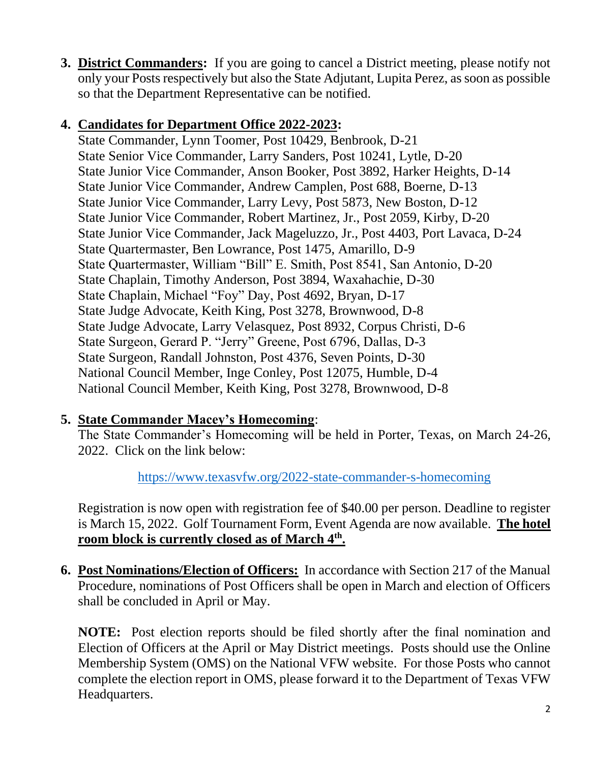**3. District Commanders:** If you are going to cancel a District meeting, please notify not only your Posts respectively but also the State Adjutant, Lupita Perez, as soon as possible so that the Department Representative can be notified.

### **4. Candidates for Department Office 2022-2023:**

State Commander, Lynn Toomer, Post 10429, Benbrook, D-21 State Senior Vice Commander, Larry Sanders, Post 10241, Lytle, D-20 State Junior Vice Commander, Anson Booker, Post 3892, Harker Heights, D-14 State Junior Vice Commander, Andrew Camplen, Post 688, Boerne, D-13 State Junior Vice Commander, Larry Levy, Post 5873, New Boston, D-12 State Junior Vice Commander, Robert Martinez, Jr., Post 2059, Kirby, D-20 State Junior Vice Commander, Jack Mageluzzo, Jr., Post 4403, Port Lavaca, D-24 State Quartermaster, Ben Lowrance, Post 1475, Amarillo, D-9 State Quartermaster, William "Bill" E. Smith, Post 8541, San Antonio, D-20 State Chaplain, Timothy Anderson, Post 3894, Waxahachie, D-30 State Chaplain, Michael "Foy" Day, Post 4692, Bryan, D-17 State Judge Advocate, Keith King, Post 3278, Brownwood, D-8 State Judge Advocate, Larry Velasquez, Post 8932, Corpus Christi, D-6 State Surgeon, Gerard P. "Jerry" Greene, Post 6796, Dallas, D-3 State Surgeon, Randall Johnston, Post 4376, Seven Points, D-30 National Council Member, Inge Conley, Post 12075, Humble, D-4 National Council Member, Keith King, Post 3278, Brownwood, D-8

## **5. State Commander Macey's Homecoming**:

The State Commander's Homecoming will be held in Porter, Texas, on March 24-26, 2022. Click on the link below:

<https://www.texasvfw.org/2022-state-commander-s-homecoming>

Registration is now open with registration fee of \$40.00 per person. Deadline to register is March 15, 2022. Golf Tournament Form, Event Agenda are now available. **The hotel room block is currently closed as of March 4th .**

**6. Post Nominations/Election of Officers:** In accordance with Section 217 of the Manual Procedure, nominations of Post Officers shall be open in March and election of Officers shall be concluded in April or May.

**NOTE:** Post election reports should be filed shortly after the final nomination and Election of Officers at the April or May District meetings. Posts should use the Online Membership System (OMS) on the National VFW website. For those Posts who cannot complete the election report in OMS, please forward it to the Department of Texas VFW Headquarters.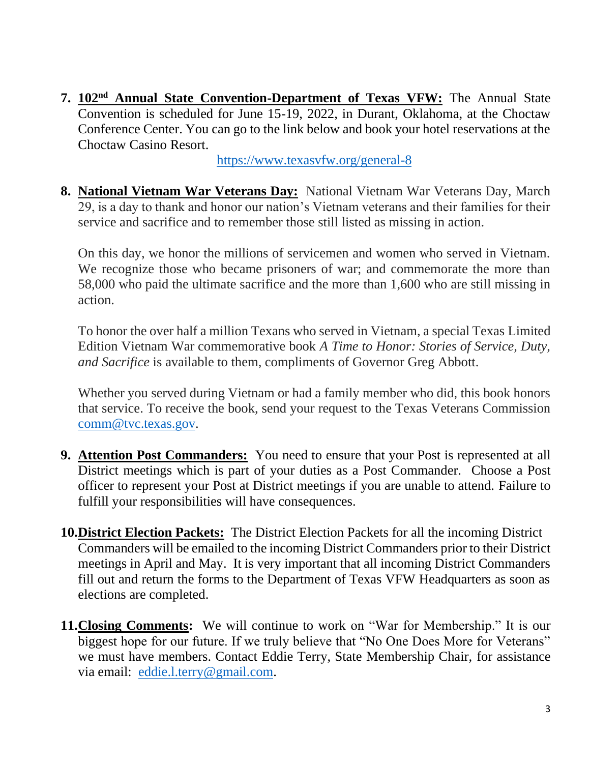**7. 102nd Annual State Convention-Department of Texas VFW:** The Annual State Convention is scheduled for June 15-19, 2022, in Durant, Oklahoma, at the Choctaw Conference Center. You can go to the link below and book your hotel reservations at the Choctaw Casino Resort.

<https://www.texasvfw.org/general-8>

**8. National Vietnam War Veterans Day:** National Vietnam War Veterans Day, March 29, is a day to thank and honor our nation's Vietnam veterans and their families for their service and sacrifice and to remember those still listed as missing in action.

On this day, we honor the millions of servicemen and women who served in Vietnam. We recognize those who became prisoners of war; and commemorate the more than 58,000 who paid the ultimate sacrifice and the more than 1,600 who are still missing in action.

To honor the over half a million Texans who served in Vietnam, a special Texas Limited Edition Vietnam War commemorative book *A Time to Honor: Stories of Service, Duty, and Sacrifice* is available to them, compliments of Governor Greg Abbott.

Whether you served during Vietnam or had a family member who did, this book honors that service. To receive the book, send your request to the Texas Veterans Commission [comm@tvc.texas.gov.](mailto:comm@tvc.texas.gov)

- **9. Attention Post Commanders:** You need to ensure that your Post is represented at all District meetings which is part of your duties as a Post Commander. Choose a Post officer to represent your Post at District meetings if you are unable to attend. Failure to fulfill your responsibilities will have consequences.
- **10.District Election Packets:** The District Election Packets for all the incoming District Commanders will be emailed to the incoming District Commanders prior to their District meetings in April and May. It is very important that all incoming District Commanders fill out and return the forms to the Department of Texas VFW Headquarters as soon as elections are completed.
- **11.Closing Comments:** We will continue to work on "War for Membership." It is our biggest hope for our future. If we truly believe that "No One Does More for Veterans" we must have members. Contact Eddie Terry, State Membership Chair, for assistance via email: [eddie.l.terry@gmail.com.](mailto:eddie.l.terry@gmail.com)